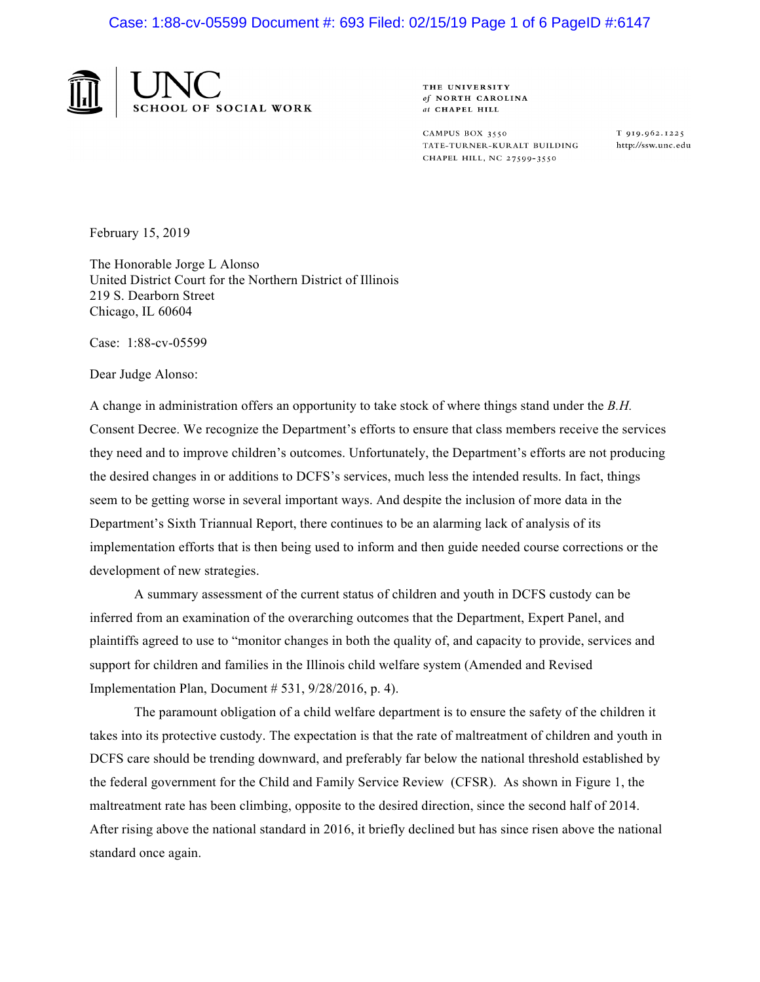

THE UNIVERSITY of NORTH CAROLINA at CHAPEL HILL

CAMPUS BOX 3550 TATE-TURNER-KURALT BUILDING CHAPEL HILL, NC 27599-3550

T 919.962.1225 http://ssw.unc.edu

February 15, 2019

The Honorable Jorge L Alonso United District Court for the Northern District of Illinois 219 S. Dearborn Street Chicago, IL 60604

Case: 1:88-cv-05599

Dear Judge Alonso:

A change in administration offers an opportunity to take stock of where things stand under the *B.H.* Consent Decree. We recognize the Department's efforts to ensure that class members receive the services they need and to improve children's outcomes. Unfortunately, the Department's efforts are not producing the desired changes in or additions to DCFS's services, much less the intended results. In fact, things seem to be getting worse in several important ways. And despite the inclusion of more data in the Department's Sixth Triannual Report, there continues to be an alarming lack of analysis of its implementation efforts that is then being used to inform and then guide needed course corrections or the development of new strategies.

A summary assessment of the current status of children and youth in DCFS custody can be inferred from an examination of the overarching outcomes that the Department, Expert Panel, and plaintiffs agreed to use to "monitor changes in both the quality of, and capacity to provide, services and support for children and families in the Illinois child welfare system (Amended and Revised Implementation Plan, Document # 531, 9/28/2016, p. 4).

The paramount obligation of a child welfare department is to ensure the safety of the children it takes into its protective custody. The expectation is that the rate of maltreatment of children and youth in DCFS care should be trending downward, and preferably far below the national threshold established by the federal government for the Child and Family Service Review (CFSR). As shown in Figure 1, the maltreatment rate has been climbing, opposite to the desired direction, since the second half of 2014. After rising above the national standard in 2016, it briefly declined but has since risen above the national standard once again.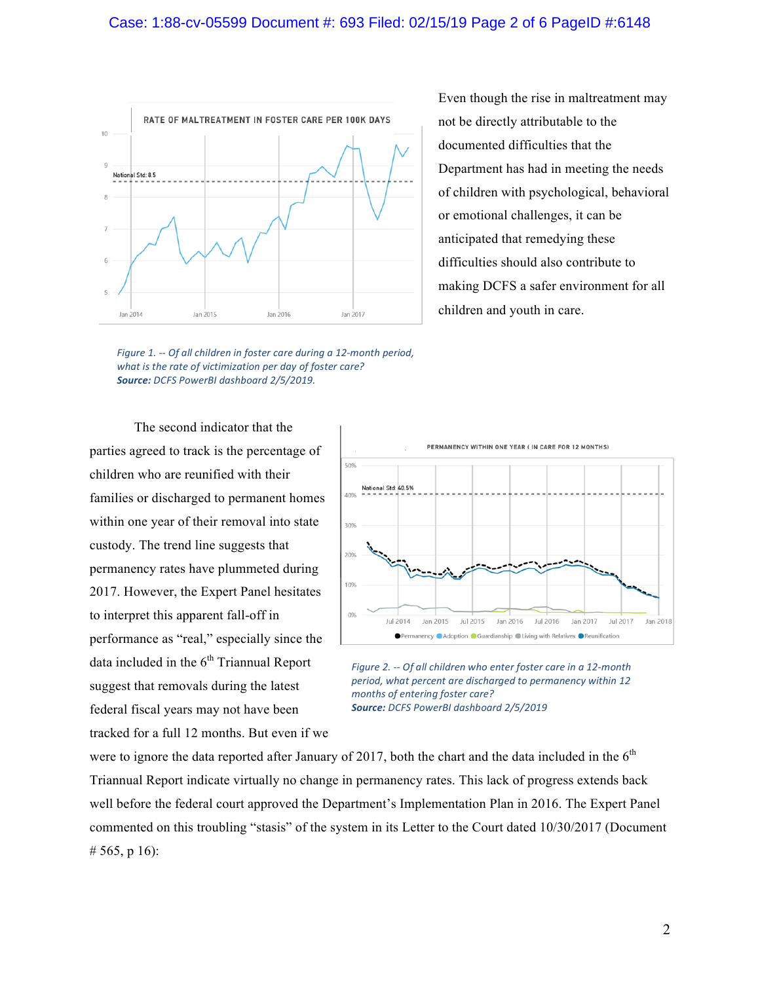

Even though the rise in maltreatment may not be directly attributable to the documented difficulties that the Department has had in meeting the needs of children with psychological, behavioral or emotional challenges, it can be anticipated that remedying these difficulties should also contribute to making DCFS a safer environment for all children and youth in care.

*Figure* 1. -- Of all children in foster care during a 12-month period, what is the rate of victimization per day of foster care? *Source: DCFS PowerBI dashboard 2/5/2019.*

The second indicator that the parties agreed to track is the percentage of children who are reunified with their families or discharged to permanent homes within one year of their removal into state custody. The trend line suggests that permanency rates have plummeted during 2017. However, the Expert Panel hesitates to interpret this apparent fall-off in performance as "real," especially since the data included in the  $6<sup>th</sup>$  Triannual Report suggest that removals during the latest federal fiscal years may not have been tracked for a full 12 months. But even if we



*Figure 2. -- Of all children who enter foster care in a 12-month* period, what percent are discharged to permanency within 12 *months of entering foster care? Source: DCFS PowerBI dashboard 2/5/2019*

were to ignore the data reported after January of 2017, both the chart and the data included in the  $6<sup>th</sup>$ Triannual Report indicate virtually no change in permanency rates. This lack of progress extends back well before the federal court approved the Department's Implementation Plan in 2016. The Expert Panel commented on this troubling "stasis" of the system in its Letter to the Court dated 10/30/2017 (Document # 565, p 16):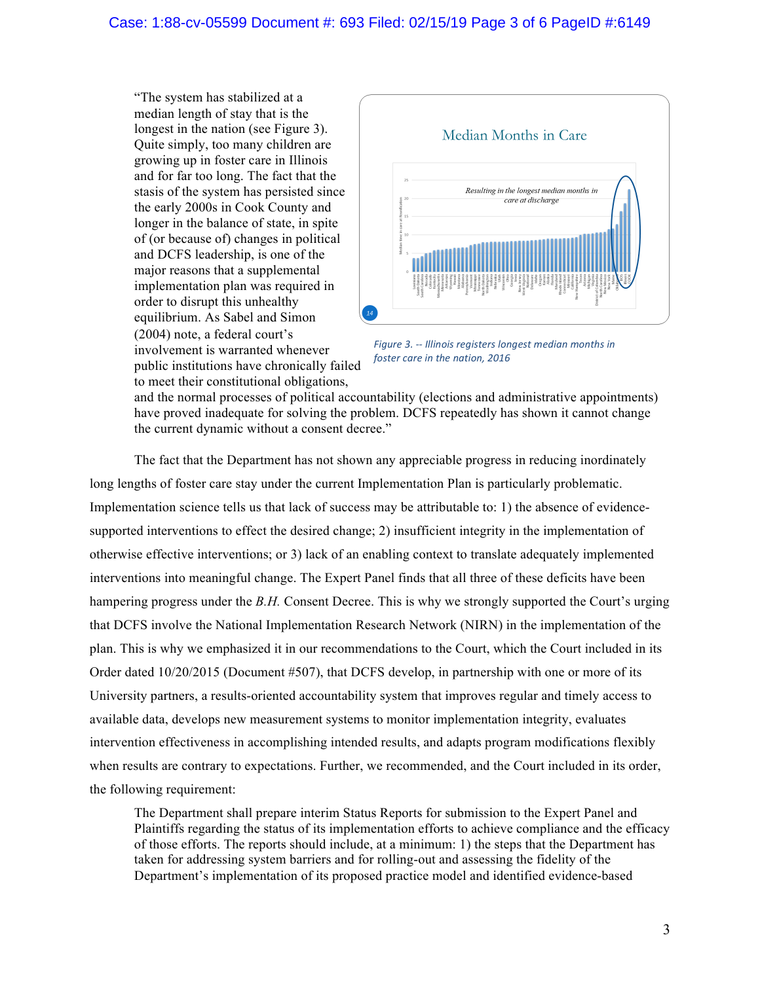"The system has stabilized at a median length of stay that is the longest in the nation (see Figure 3). Quite simply, too many children are growing up in foster care in Illinois and for far too long. The fact that the stasis of the system has persisted since the early 2000s in Cook County and longer in the balance of state, in spite of (or because of) changes in political and DCFS leadership, is one of the major reasons that a supplemental implementation plan was required in order to disrupt this unhealthy equilibrium. As Sabel and Simon (2004) note, a federal court's involvement is warranted whenever public institutions have chronically failed to meet their constitutional obligations,



*Figure 3. -- Illinois registers longest median months in foster care in the nation, 2016* 

and the normal processes of political accountability (elections and administrative appointments) have proved inadequate for solving the problem. DCFS repeatedly has shown it cannot change the current dynamic without a consent decree."

The fact that the Department has not shown any appreciable progress in reducing inordinately long lengths of foster care stay under the current Implementation Plan is particularly problematic. Implementation science tells us that lack of success may be attributable to: 1) the absence of evidencesupported interventions to effect the desired change; 2) insufficient integrity in the implementation of otherwise effective interventions; or 3) lack of an enabling context to translate adequately implemented interventions into meaningful change. The Expert Panel finds that all three of these deficits have been hampering progress under the *B.H.* Consent Decree. This is why we strongly supported the Court's urging that DCFS involve the National Implementation Research Network (NIRN) in the implementation of the plan. This is why we emphasized it in our recommendations to the Court, which the Court included in its Order dated 10/20/2015 (Document #507), that DCFS develop, in partnership with one or more of its University partners, a results-oriented accountability system that improves regular and timely access to available data, develops new measurement systems to monitor implementation integrity, evaluates intervention effectiveness in accomplishing intended results, and adapts program modifications flexibly when results are contrary to expectations. Further, we recommended, and the Court included in its order, the following requirement:

The Department shall prepare interim Status Reports for submission to the Expert Panel and Plaintiffs regarding the status of its implementation efforts to achieve compliance and the efficacy of those efforts. The reports should include, at a minimum: 1) the steps that the Department has taken for addressing system barriers and for rolling-out and assessing the fidelity of the Department's implementation of its proposed practice model and identified evidence-based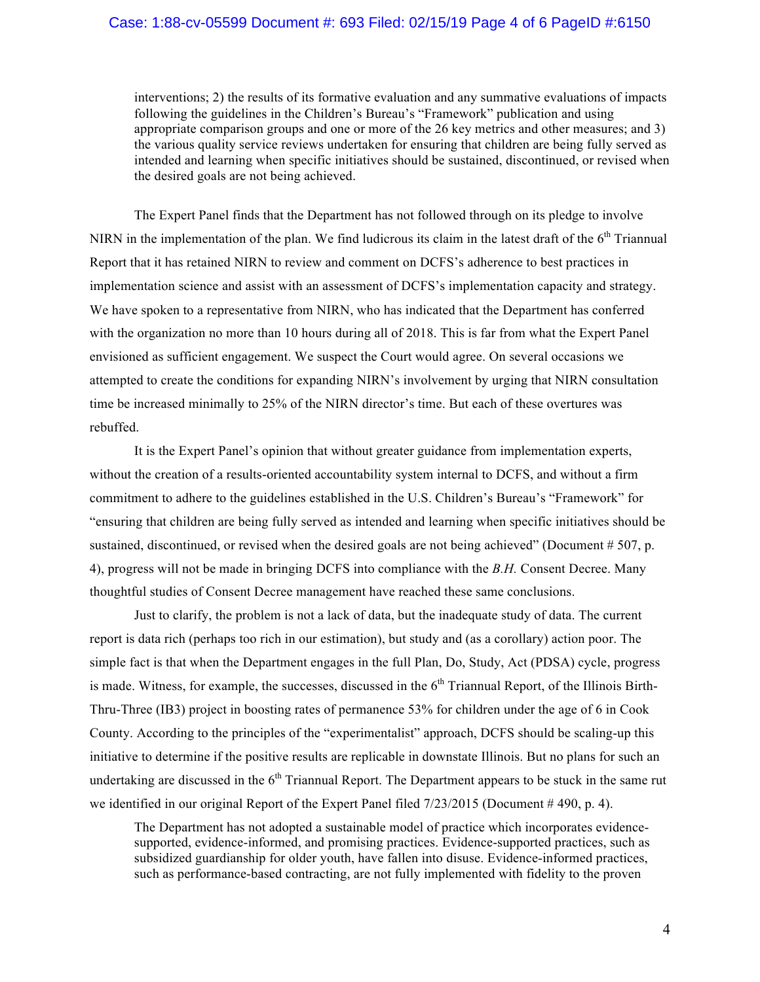## Case: 1:88-cv-05599 Document #: 693 Filed: 02/15/19 Page 4 of 6 PageID #:6150

interventions; 2) the results of its formative evaluation and any summative evaluations of impacts following the guidelines in the Children's Bureau's "Framework" publication and using appropriate comparison groups and one or more of the 26 key metrics and other measures; and 3) the various quality service reviews undertaken for ensuring that children are being fully served as intended and learning when specific initiatives should be sustained, discontinued, or revised when the desired goals are not being achieved.

The Expert Panel finds that the Department has not followed through on its pledge to involve NIRN in the implementation of the plan. We find ludicrous its claim in the latest draft of the  $6<sup>th</sup>$  Triannual Report that it has retained NIRN to review and comment on DCFS's adherence to best practices in implementation science and assist with an assessment of DCFS's implementation capacity and strategy. We have spoken to a representative from NIRN, who has indicated that the Department has conferred with the organization no more than 10 hours during all of 2018. This is far from what the Expert Panel envisioned as sufficient engagement. We suspect the Court would agree. On several occasions we attempted to create the conditions for expanding NIRN's involvement by urging that NIRN consultation time be increased minimally to 25% of the NIRN director's time. But each of these overtures was rebuffed.

It is the Expert Panel's opinion that without greater guidance from implementation experts, without the creation of a results-oriented accountability system internal to DCFS, and without a firm commitment to adhere to the guidelines established in the U.S. Children's Bureau's "Framework" for "ensuring that children are being fully served as intended and learning when specific initiatives should be sustained, discontinued, or revised when the desired goals are not being achieved" (Document # 507, p. 4), progress will not be made in bringing DCFS into compliance with the *B.H.* Consent Decree. Many thoughtful studies of Consent Decree management have reached these same conclusions.

Just to clarify, the problem is not a lack of data, but the inadequate study of data. The current report is data rich (perhaps too rich in our estimation), but study and (as a corollary) action poor. The simple fact is that when the Department engages in the full Plan, Do, Study, Act (PDSA) cycle, progress is made. Witness, for example, the successes, discussed in the  $6<sup>th</sup>$  Triannual Report, of the Illinois Birth-Thru-Three (IB3) project in boosting rates of permanence 53% for children under the age of 6 in Cook County. According to the principles of the "experimentalist" approach, DCFS should be scaling-up this initiative to determine if the positive results are replicable in downstate Illinois. But no plans for such an undertaking are discussed in the  $6<sup>th</sup>$  Triannual Report. The Department appears to be stuck in the same rut we identified in our original Report of the Expert Panel filed  $7/23/2015$  (Document # 490, p. 4).

The Department has not adopted a sustainable model of practice which incorporates evidencesupported, evidence-informed, and promising practices. Evidence-supported practices, such as subsidized guardianship for older youth, have fallen into disuse. Evidence-informed practices, such as performance-based contracting, are not fully implemented with fidelity to the proven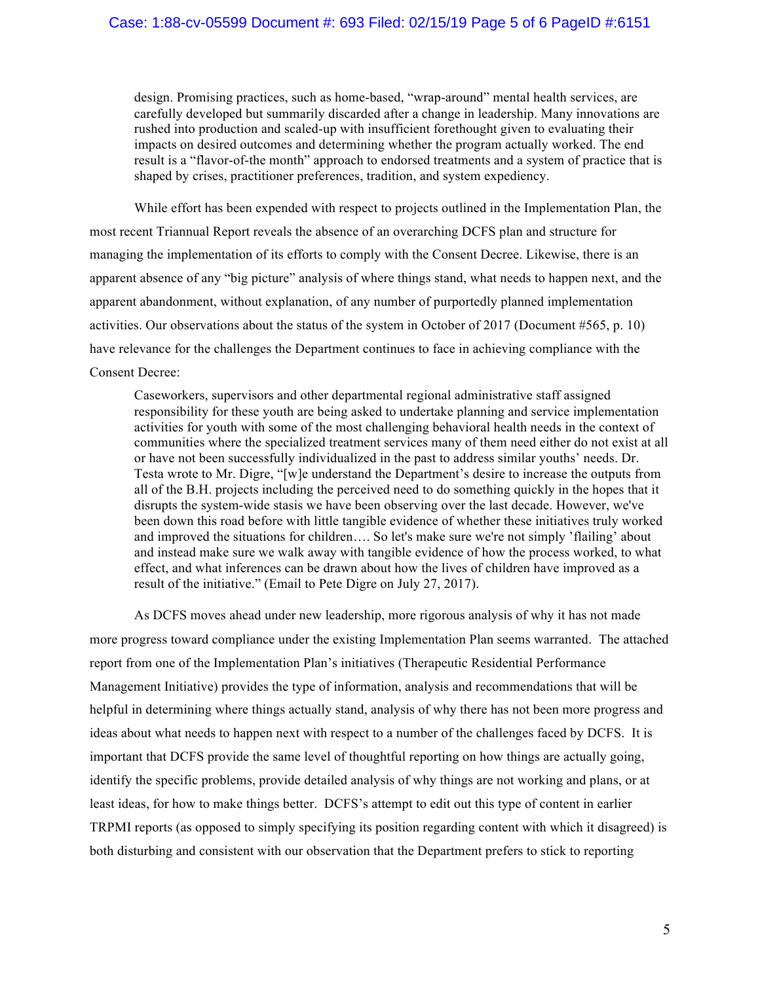design. Promising practices, such as home-based, "wrap-around" mental health services, are carefully developed but summarily discarded after a change in leadership. Many innovations are rushed into production and scaled-up with insufficient forethought given to evaluating their impacts on desired outcomes and determining whether the program actually worked. The end result is a "flavor-of-the month" approach to endorsed treatments and a system of practice that is shaped by crises, practitioner preferences, tradition, and system expediency.

While effort has been expended with respect to projects outlined in the Implementation Plan, the most recent Triannual Report reveals the absence of an overarching DCFS plan and structure for managing the implementation of its efforts to comply with the Consent Decree. Likewise, there is an apparent absence of any "big picture" analysis of where things stand, what needs to happen next, and the apparent abandonment, without explanation, of any number of purportedly planned implementation activities. Our observations about the status of the system in October of 2017 (Document #565, p. 10) have relevance for the challenges the Department continues to face in achieving compliance with the Consent Decree:

Caseworkers, supervisors and other departmental regional administrative staff assigned responsibility for these youth are being asked to undertake planning and service implementation activities for youth with some of the most challenging behavioral health needs in the context of communities where the specialized treatment services many of them need either do not exist at all or have not been successfully individualized in the past to address similar youths' needs. Dr. Testa wrote to Mr. Digre, "[w]e understand the Department's desire to increase the outputs from all of the B.H. projects including the perceived need to do something quickly in the hopes that it disrupts the system-wide stasis we have been observing over the last decade. However, we've been down this road before with little tangible evidence of whether these initiatives truly worked and improved the situations for children…. So let's make sure we're not simply 'flailing' about and instead make sure we walk away with tangible evidence of how the process worked, to what effect, and what inferences can be drawn about how the lives of children have improved as a result of the initiative." (Email to Pete Digre on July 27, 2017).

As DCFS moves ahead under new leadership, more rigorous analysis of why it has not made more progress toward compliance under the existing Implementation Plan seems warranted. The attached report from one of the Implementation Plan's initiatives (Therapeutic Residential Performance Management Initiative) provides the type of information, analysis and recommendations that will be helpful in determining where things actually stand, analysis of why there has not been more progress and ideas about what needs to happen next with respect to a number of the challenges faced by DCFS. It is important that DCFS provide the same level of thoughtful reporting on how things are actually going, identify the specific problems, provide detailed analysis of why things are not working and plans, or at least ideas, for how to make things better. DCFS's attempt to edit out this type of content in earlier TRPMI reports (as opposed to simply specifying its position regarding content with which it disagreed) is both disturbing and consistent with our observation that the Department prefers to stick to reporting